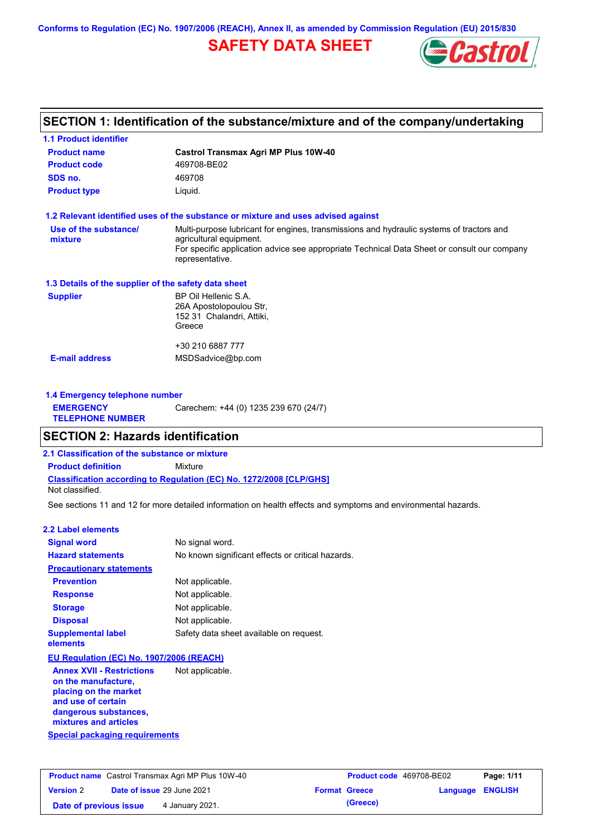**Conforms to Regulation (EC) No. 1907/2006 (REACH), Annex II, as amended by Commission Regulation (EU) 2015/830**

## **SAFETY DATA SHEET**



## **SECTION 1: Identification of the substance/mixture and of the company/undertaking**

| <b>1.1 Product identifier</b>                        |                                                                                                                     |  |  |  |  |
|------------------------------------------------------|---------------------------------------------------------------------------------------------------------------------|--|--|--|--|
| <b>Product name</b>                                  | <b>Castrol Transmax Agri MP Plus 10W-40</b>                                                                         |  |  |  |  |
| <b>Product code</b>                                  | 469708-BE02                                                                                                         |  |  |  |  |
| SDS no.                                              | 469708                                                                                                              |  |  |  |  |
| <b>Product type</b>                                  | Liquid.                                                                                                             |  |  |  |  |
|                                                      | 1.2 Relevant identified uses of the substance or mixture and uses advised against                                   |  |  |  |  |
| Use of the substance/<br>mixture                     | Multi-purpose lubricant for engines, transmissions and hydraulic systems of tractors and<br>agricultural equipment. |  |  |  |  |
|                                                      | For specific application advice see appropriate Technical Data Sheet or consult our company<br>representative.      |  |  |  |  |
| 1.3 Details of the supplier of the safety data sheet |                                                                                                                     |  |  |  |  |
| <b>Supplier</b>                                      | BP Oil Hellenic S.A.<br>26A Apostolopoulou Str,<br>152 31 Chalandri, Attiki,<br>Greece                              |  |  |  |  |
|                                                      | +30 210 6887 777                                                                                                    |  |  |  |  |
| <b>E-mail address</b>                                | MSDSadvice@bp.com                                                                                                   |  |  |  |  |
| 1.4 Emergency telephone number                       |                                                                                                                     |  |  |  |  |
| <b>EMERGENCY</b><br><b>TELEPHONE NUMBER</b>          | Carechem: +44 (0) 1235 239 670 (24/7)                                                                               |  |  |  |  |

### **SECTION 2: Hazards identification**

**2.1 Classification of the substance or mixture**

**Classification according to Regulation (EC) No. 1272/2008 [CLP/GHS] Product definition** Mixture

Not classified.

See sections 11 and 12 for more detailed information on health effects and symptoms and environmental hazards.

#### **2.2 Label elements**

| <b>Signal word</b>                                      | No signal word.                                   |
|---------------------------------------------------------|---------------------------------------------------|
| <b>Hazard statements</b>                                | No known significant effects or critical hazards. |
| <b>Precautionary statements</b>                         |                                                   |
| <b>Prevention</b>                                       | Not applicable.                                   |
| <b>Response</b>                                         | Not applicable.                                   |
| <b>Storage</b>                                          | Not applicable.                                   |
| <b>Disposal</b>                                         | Not applicable.                                   |
| <b>Supplemental label</b><br>elements                   | Safety data sheet available on request.           |
| EU Regulation (EC) No. 1907/2006 (REACH)                |                                                   |
| <b>Annex XVII - Restrictions</b><br>on the manufacture, | Not applicable.                                   |

**Special packaging requirements placing on the market and use of certain dangerous substances, mixtures and articles**

| <b>Product name</b> Castrol Transmax Agri MP Plus 10W-40 |  |                                   | <b>Product code</b> 469708-BE02 |                      | Page: 1/11              |  |
|----------------------------------------------------------|--|-----------------------------------|---------------------------------|----------------------|-------------------------|--|
| <b>Version 2</b>                                         |  | <b>Date of issue 29 June 2021</b> |                                 | <b>Format Greece</b> | <b>Language ENGLISH</b> |  |
| Date of previous issue                                   |  | 4 January 2021.                   |                                 | (Greece)             |                         |  |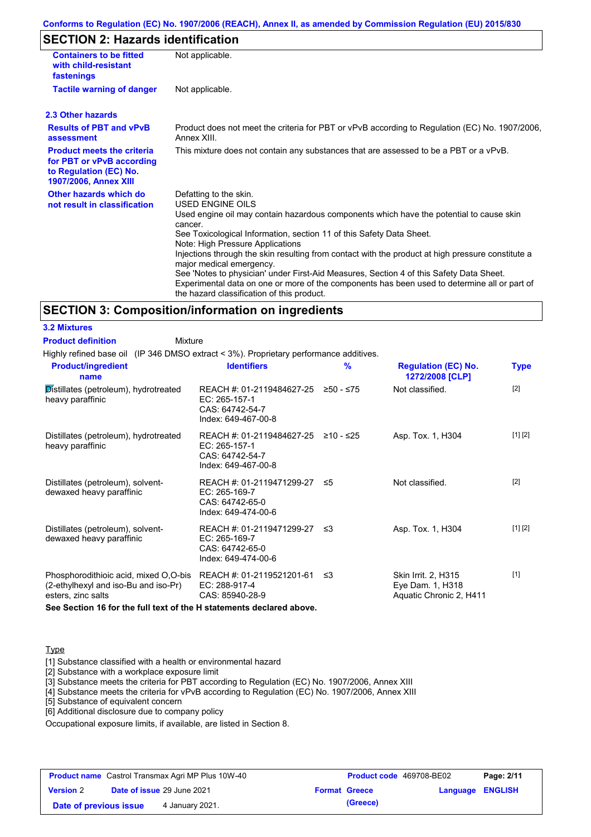#### **Conforms to Regulation (EC) No. 1907/2006 (REACH), Annex II, as amended by Commission Regulation (EU) 2015/830**

## **SECTION 2: Hazards identification**

| <b>Containers to be fitted</b><br>with child-resistant<br>fastenings                                                     | Not applicable.                                                                                                                                                                                                                                                                                                                                                                                                                                                                                                                                                                                                                               |
|--------------------------------------------------------------------------------------------------------------------------|-----------------------------------------------------------------------------------------------------------------------------------------------------------------------------------------------------------------------------------------------------------------------------------------------------------------------------------------------------------------------------------------------------------------------------------------------------------------------------------------------------------------------------------------------------------------------------------------------------------------------------------------------|
| <b>Tactile warning of danger</b>                                                                                         | Not applicable.                                                                                                                                                                                                                                                                                                                                                                                                                                                                                                                                                                                                                               |
| 2.3 Other hazards                                                                                                        |                                                                                                                                                                                                                                                                                                                                                                                                                                                                                                                                                                                                                                               |
| <b>Results of PBT and vPvB</b><br>assessment                                                                             | Product does not meet the criteria for PBT or vPvB according to Regulation (EC) No. 1907/2006,<br>Annex XIII.                                                                                                                                                                                                                                                                                                                                                                                                                                                                                                                                 |
| <b>Product meets the criteria</b><br>for PBT or vPvB according<br>to Regulation (EC) No.<br><b>1907/2006, Annex XIII</b> | This mixture does not contain any substances that are assessed to be a PBT or a vPvB.                                                                                                                                                                                                                                                                                                                                                                                                                                                                                                                                                         |
| Other hazards which do<br>not result in classification                                                                   | Defatting to the skin.<br><b>USED ENGINE OILS</b><br>Used engine oil may contain hazardous components which have the potential to cause skin<br>cancer.<br>See Toxicological Information, section 11 of this Safety Data Sheet.<br>Note: High Pressure Applications<br>Injections through the skin resulting from contact with the product at high pressure constitute a<br>major medical emergency.<br>See 'Notes to physician' under First-Aid Measures, Section 4 of this Safety Data Sheet.<br>Experimental data on one or more of the components has been used to determine all or part of<br>the hazard classification of this product. |

#### **SECTION 3: Composition/information on ingredients**

**3.2 Mixtures**

| <b>Product definition</b><br>Mixture                                                                                          |                                                                                         |             |                                                                    |             |
|-------------------------------------------------------------------------------------------------------------------------------|-----------------------------------------------------------------------------------------|-------------|--------------------------------------------------------------------|-------------|
| Highly refined base oil (IP 346 DMSO extract < 3%). Proprietary performance additives.                                        |                                                                                         |             |                                                                    |             |
| <b>Product/ingredient</b><br>name                                                                                             | <b>Identifiers</b>                                                                      | %           | <b>Regulation (EC) No.</b><br>1272/2008 [CLP]                      | <b>Type</b> |
| Distillates (petroleum), hydrotreated<br>heavy paraffinic                                                                     | REACH #: 01-2119484627-25<br>EC: 265-157-1<br>CAS: 64742-54-7<br>Index: 649-467-00-8    | $≥50 - ≤75$ | Not classified.                                                    | $[2]$       |
| Distillates (petroleum), hydrotreated<br>heavy paraffinic                                                                     | REACH #: 01-2119484627-25<br>$EC: 265-157-1$<br>CAS: 64742-54-7<br>Index: 649-467-00-8  | ≥10 - ≤25   | Asp. Tox. 1, H304                                                  | [1] [2]     |
| Distillates (petroleum), solvent-<br>dewaxed heavy paraffinic                                                                 | REACH #: 01-2119471299-27 ≤5<br>EC: 265-169-7<br>CAS: 64742-65-0<br>Index: 649-474-00-6 |             | Not classified.                                                    | $[2]$       |
| Distillates (petroleum), solvent-<br>dewaxed heavy paraffinic                                                                 | REACH #: 01-2119471299-27<br>$EC: 265-169-7$<br>CAS: 64742-65-0<br>Index: 649-474-00-6  | ≤3          | Asp. Tox. 1, H304                                                  | [1] [2]     |
| Phosphorodithioic acid, mixed O,O-bis REACH #: 01-2119521201-61<br>(2-ethylhexyl and iso-Bu and iso-Pr)<br>esters, zinc salts | $EC: 288-917-4$<br>CAS: 85940-28-9                                                      | ึ ≤3        | Skin Irrit. 2, H315<br>Eye Dam. 1, H318<br>Aquatic Chronic 2, H411 | $[1]$       |
| See Section 16 for the full text of the H statements declared above.                                                          |                                                                                         |             |                                                                    |             |

**Type** 

[1] Substance classified with a health or environmental hazard

[2] Substance with a workplace exposure limit

[3] Substance meets the criteria for PBT according to Regulation (EC) No. 1907/2006, Annex XIII

[4] Substance meets the criteria for vPvB according to Regulation (EC) No. 1907/2006, Annex XIII

[5] Substance of equivalent concern

[6] Additional disclosure due to company policy

Occupational exposure limits, if available, are listed in Section 8.

| <b>Product name</b> Castrol Transmax Agri MP Plus 10W-40 |  |                            | <b>Product code</b> 469708-BE02 |                      | Page: 2/11              |  |
|----------------------------------------------------------|--|----------------------------|---------------------------------|----------------------|-------------------------|--|
| <b>Version 2</b>                                         |  | Date of issue 29 June 2021 |                                 | <b>Format Greece</b> | <b>Language ENGLISH</b> |  |
| Date of previous issue                                   |  | 4 January 2021.            |                                 | (Greece)             |                         |  |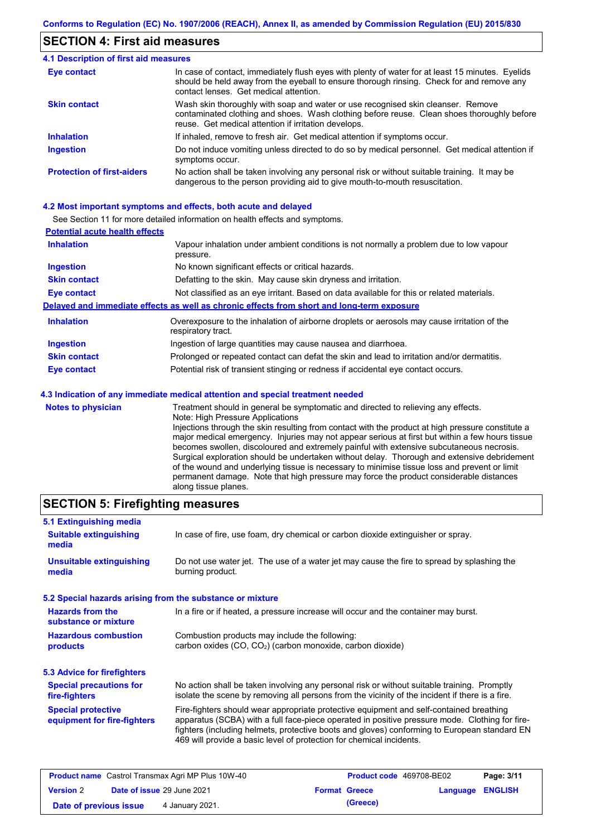## **SECTION 4: First aid measures**

#### Do not induce vomiting unless directed to do so by medical personnel. Get medical attention if symptoms occur. In case of contact, immediately flush eyes with plenty of water for at least 15 minutes. Eyelids should be held away from the eyeball to ensure thorough rinsing. Check for and remove any contact lenses. Get medical attention. **4.1 Description of first aid measures** If inhaled, remove to fresh air. Get medical attention if symptoms occur. **Ingestion Inhalation Eye contact Protection of first-aiders** No action shall be taken involving any personal risk or without suitable training. It may be dangerous to the person providing aid to give mouth-to-mouth resuscitation. **Skin contact** Wash skin thoroughly with soap and water or use recognised skin cleanser. Remove contaminated clothing and shoes. Wash clothing before reuse. Clean shoes thoroughly before reuse. Get medical attention if irritation develops.

#### **4.2 Most important symptoms and effects, both acute and delayed**

See Section 11 for more detailed information on health effects and symptoms.

| <b>Potential acute health effects</b> |                                                                                                                   |
|---------------------------------------|-------------------------------------------------------------------------------------------------------------------|
| <b>Inhalation</b>                     | Vapour inhalation under ambient conditions is not normally a problem due to low vapour<br>pressure.               |
| <b>Ingestion</b>                      | No known significant effects or critical hazards.                                                                 |
| <b>Skin contact</b>                   | Defatting to the skin. May cause skin dryness and irritation.                                                     |
| <b>Eye contact</b>                    | Not classified as an eye irritant. Based on data available for this or related materials.                         |
|                                       | Delayed and immediate effects as well as chronic effects from short and long-term exposure                        |
| <b>Inhalation</b>                     | Overexposure to the inhalation of airborne droplets or aerosols may cause irritation of the<br>respiratory tract. |
| <b>Ingestion</b>                      | Ingestion of large quantities may cause nausea and diarrhoea.                                                     |
| <b>Skin contact</b>                   | Prolonged or repeated contact can defat the skin and lead to irritation and/or dermatitis.                        |
| Eye contact                           | Potential risk of transient stinging or redness if accidental eye contact occurs.                                 |
|                                       | 4.3 Indication of any immediate medical attention and special treatment needed                                    |
| Notes to physician                    | Treatment should in general he symptomatic and directed to relieving any effects                                  |

| <b>Notes to physician</b> | Treatment should in general be symptomatic and directed to relieving any effects.                 |
|---------------------------|---------------------------------------------------------------------------------------------------|
|                           | Note: High Pressure Applications                                                                  |
|                           | Injections through the skin resulting from contact with the product at high pressure constitute a |
|                           | major medical emergency. Injuries may not appear serious at first but within a few hours tissue   |
|                           | becomes swollen, discoloured and extremely painful with extensive subcutaneous necrosis.          |
|                           | Surgical exploration should be undertaken without delay. Thorough and extensive debridement       |
|                           | of the wound and underlying tissue is necessary to minimise tissue loss and prevent or limit      |
|                           | permanent damage. Note that high pressure may force the product considerable distances            |
|                           | along tissue planes.                                                                              |

## **SECTION 5: Firefighting measures**

| 5.1 Extinguishing media                                                                                                    |                                                                                                                                                                                                                                                                                                                                                                   |  |
|----------------------------------------------------------------------------------------------------------------------------|-------------------------------------------------------------------------------------------------------------------------------------------------------------------------------------------------------------------------------------------------------------------------------------------------------------------------------------------------------------------|--|
| In case of fire, use foam, dry chemical or carbon dioxide extinguisher or spray.<br><b>Suitable extinguishing</b><br>media |                                                                                                                                                                                                                                                                                                                                                                   |  |
| <b>Unsuitable extinguishing</b><br>media                                                                                   | Do not use water jet. The use of a water jet may cause the fire to spread by splashing the<br>burning product.                                                                                                                                                                                                                                                    |  |
| 5.2 Special hazards arising from the substance or mixture                                                                  |                                                                                                                                                                                                                                                                                                                                                                   |  |
| <b>Hazards from the</b><br>substance or mixture                                                                            | In a fire or if heated, a pressure increase will occur and the container may burst.                                                                                                                                                                                                                                                                               |  |
| <b>Hazardous combustion</b><br>products                                                                                    | Combustion products may include the following:<br>carbon oxides (CO, CO <sub>2</sub> ) (carbon monoxide, carbon dioxide)                                                                                                                                                                                                                                          |  |
| 5.3 Advice for firefighters                                                                                                |                                                                                                                                                                                                                                                                                                                                                                   |  |
| <b>Special precautions for</b><br>fire-fighters                                                                            | No action shall be taken involving any personal risk or without suitable training. Promptly<br>isolate the scene by removing all persons from the vicinity of the incident if there is a fire.                                                                                                                                                                    |  |
| <b>Special protective</b><br>equipment for fire-fighters                                                                   | Fire-fighters should wear appropriate protective equipment and self-contained breathing<br>apparatus (SCBA) with a full face-piece operated in positive pressure mode. Clothing for fire-<br>fighters (including helmets, protective boots and gloves) conforming to European standard EN<br>469 will provide a basic level of protection for chemical incidents. |  |

| <b>Product name</b> Castrol Transmax Agri MP Plus 10W-40 |  |                            | <b>Product code</b> 469708-BE02 |                      | Page: 3/11              |  |
|----------------------------------------------------------|--|----------------------------|---------------------------------|----------------------|-------------------------|--|
| <b>Version 2</b>                                         |  | Date of issue 29 June 2021 |                                 | <b>Format Greece</b> | <b>Language ENGLISH</b> |  |
| Date of previous issue                                   |  | 4 January 2021.            |                                 | (Greece)             |                         |  |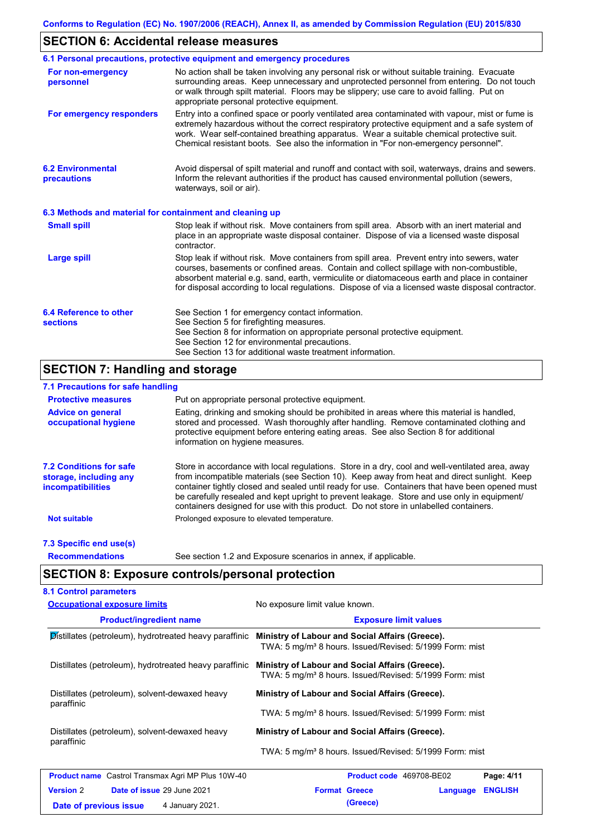## **SECTION 6: Accidental release measures**

|                                                          | 6.1 Personal precautions, protective equipment and emergency procedures                                                                                                                                                                                                                                                                                                                        |  |  |  |
|----------------------------------------------------------|------------------------------------------------------------------------------------------------------------------------------------------------------------------------------------------------------------------------------------------------------------------------------------------------------------------------------------------------------------------------------------------------|--|--|--|
| For non-emergency<br>personnel                           | No action shall be taken involving any personal risk or without suitable training. Evacuate<br>surrounding areas. Keep unnecessary and unprotected personnel from entering. Do not touch<br>or walk through spilt material. Floors may be slippery; use care to avoid falling. Put on<br>appropriate personal protective equipment.                                                            |  |  |  |
| For emergency responders                                 | Entry into a confined space or poorly ventilated area contaminated with vapour, mist or fume is<br>extremely hazardous without the correct respiratory protective equipment and a safe system of<br>work. Wear self-contained breathing apparatus. Wear a suitable chemical protective suit.<br>Chemical resistant boots. See also the information in "For non-emergency personnel".           |  |  |  |
| <b>6.2 Environmental</b><br>precautions                  | Avoid dispersal of spilt material and runoff and contact with soil, waterways, drains and sewers.<br>Inform the relevant authorities if the product has caused environmental pollution (sewers,<br>waterways, soil or air).                                                                                                                                                                    |  |  |  |
| 6.3 Methods and material for containment and cleaning up |                                                                                                                                                                                                                                                                                                                                                                                                |  |  |  |
| <b>Small spill</b>                                       | Stop leak if without risk. Move containers from spill area. Absorb with an inert material and<br>place in an appropriate waste disposal container. Dispose of via a licensed waste disposal<br>contractor.                                                                                                                                                                                     |  |  |  |
| <b>Large spill</b>                                       | Stop leak if without risk. Move containers from spill area. Prevent entry into sewers, water<br>courses, basements or confined areas. Contain and collect spillage with non-combustible,<br>absorbent material e.g. sand, earth, vermiculite or diatomaceous earth and place in container<br>for disposal according to local regulations. Dispose of via a licensed waste disposal contractor. |  |  |  |
| 6.4 Reference to other<br><b>sections</b>                | See Section 1 for emergency contact information.<br>See Section 5 for firefighting measures.<br>See Section 8 for information on appropriate personal protective equipment.<br>See Section 12 for environmental precautions.<br>See Section 13 for additional waste treatment information.                                                                                                     |  |  |  |

## **SECTION 7: Handling and storage**

## **7.1 Precautions for safe handling**

| <b>Protective measures</b>                                                           | Put on appropriate personal protective equipment.                                                                                                                                                                                                                                                                                                                                                                                                                                        |
|--------------------------------------------------------------------------------------|------------------------------------------------------------------------------------------------------------------------------------------------------------------------------------------------------------------------------------------------------------------------------------------------------------------------------------------------------------------------------------------------------------------------------------------------------------------------------------------|
| <b>Advice on general</b><br>occupational hygiene                                     | Eating, drinking and smoking should be prohibited in areas where this material is handled,<br>stored and processed. Wash thoroughly after handling. Remove contaminated clothing and<br>protective equipment before entering eating areas. See also Section 8 for additional<br>information on hygiene measures.                                                                                                                                                                         |
| <b>7.2 Conditions for safe</b><br>storage, including any<br><i>incompatibilities</i> | Store in accordance with local requiations. Store in a dry, cool and well-ventilated area, away<br>from incompatible materials (see Section 10). Keep away from heat and direct sunlight. Keep<br>container tightly closed and sealed until ready for use. Containers that have been opened must<br>be carefully resealed and kept upright to prevent leakage. Store and use only in equipment/<br>containers designed for use with this product. Do not store in unlabelled containers. |
| <b>Not suitable</b>                                                                  | Prolonged exposure to elevated temperature.                                                                                                                                                                                                                                                                                                                                                                                                                                              |
| 7.3 Specific end use(s)                                                              |                                                                                                                                                                                                                                                                                                                                                                                                                                                                                          |
| <b>Recommendations</b>                                                               | See section 1.2 and Exposure scenarios in annex, if applicable.                                                                                                                                                                                                                                                                                                                                                                                                                          |

## **SECTION 8: Exposure controls/personal protection**

| <b>Occupational exposure limits</b>                          | No exposure limit value known.                                                                                         |  |  |  |
|--------------------------------------------------------------|------------------------------------------------------------------------------------------------------------------------|--|--|--|
| <b>Product/ingredient name</b>                               | <b>Exposure limit values</b>                                                                                           |  |  |  |
| Distillates (petroleum), hydrotreated heavy paraffinic       | Ministry of Labour and Social Affairs (Greece).<br>TWA: 5 mg/m <sup>3</sup> 8 hours. Issued/Revised: 5/1999 Form: mist |  |  |  |
| Distillates (petroleum), hydrotreated heavy paraffinic       | Ministry of Labour and Social Affairs (Greece).<br>TWA: 5 mg/m <sup>3</sup> 8 hours. Issued/Revised: 5/1999 Form: mist |  |  |  |
| Distillates (petroleum), solvent-dewaxed heavy<br>paraffinic | Ministry of Labour and Social Affairs (Greece).                                                                        |  |  |  |
|                                                              | TWA: 5 mg/m <sup>3</sup> 8 hours. Issued/Revised: 5/1999 Form: mist                                                    |  |  |  |
| Distillates (petroleum), solvent-dewaxed heavy<br>paraffinic | Ministry of Labour and Social Affairs (Greece).                                                                        |  |  |  |
|                                                              | TWA: 5 mg/m <sup>3</sup> 8 hours. Issued/Revised: 5/1999 Form: mist                                                    |  |  |  |
| <b>Product name</b> Castrol Transmax Agri MP Plus 10W-40     | Product code 469708-BE02<br>Page: 4/11                                                                                 |  |  |  |
| <b>Version 2</b><br>Date of issue 29 June 2021               | <b>Format Greece</b><br><b>ENGLISH</b><br>Language                                                                     |  |  |  |
| 4 January 2021.<br>Date of previous issue                    | (Greece)                                                                                                               |  |  |  |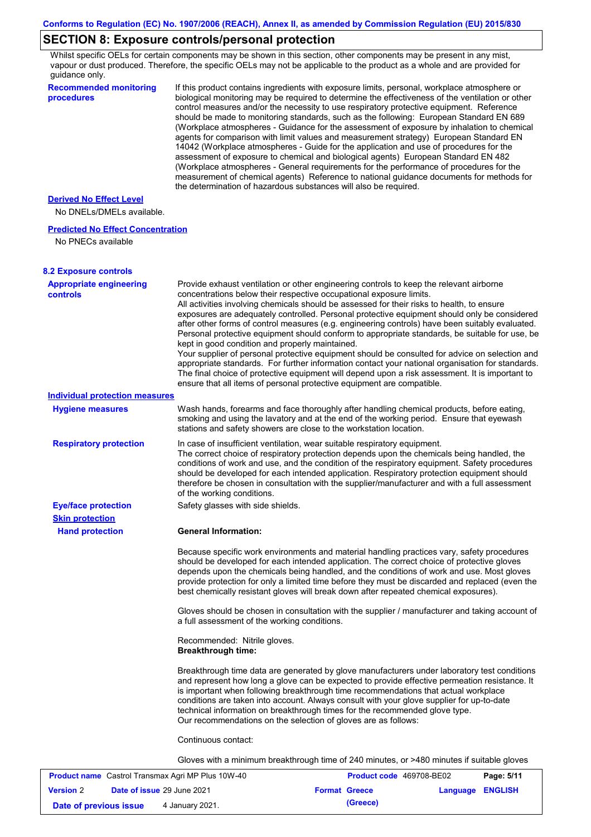## **SECTION 8: Exposure controls/personal protection**

Whilst specific OELs for certain components may be shown in this section, other components may be present in any mist, vapour or dust produced. Therefore, the specific OELs may not be applicable to the product as a whole and are provided for guidance only.

| <b>Recommended monitoring</b><br>procedures                    | If this product contains ingredients with exposure limits, personal, workplace atmosphere or<br>biological monitoring may be required to determine the effectiveness of the ventilation or other<br>control measures and/or the necessity to use respiratory protective equipment. Reference<br>should be made to monitoring standards, such as the following: European Standard EN 689<br>(Workplace atmospheres - Guidance for the assessment of exposure by inhalation to chemical<br>agents for comparison with limit values and measurement strategy) European Standard EN                                                                                                                                                                                                                                                                                                                                                                                                                         |
|----------------------------------------------------------------|---------------------------------------------------------------------------------------------------------------------------------------------------------------------------------------------------------------------------------------------------------------------------------------------------------------------------------------------------------------------------------------------------------------------------------------------------------------------------------------------------------------------------------------------------------------------------------------------------------------------------------------------------------------------------------------------------------------------------------------------------------------------------------------------------------------------------------------------------------------------------------------------------------------------------------------------------------------------------------------------------------|
|                                                                | 14042 (Workplace atmospheres - Guide for the application and use of procedures for the<br>assessment of exposure to chemical and biological agents) European Standard EN 482<br>(Workplace atmospheres - General requirements for the performance of procedures for the<br>measurement of chemical agents) Reference to national guidance documents for methods for<br>the determination of hazardous substances will also be required.                                                                                                                                                                                                                                                                                                                                                                                                                                                                                                                                                                 |
| <b>Derived No Effect Level</b><br>No DNELs/DMELs available.    |                                                                                                                                                                                                                                                                                                                                                                                                                                                                                                                                                                                                                                                                                                                                                                                                                                                                                                                                                                                                         |
| <b>Predicted No Effect Concentration</b><br>No PNECs available |                                                                                                                                                                                                                                                                                                                                                                                                                                                                                                                                                                                                                                                                                                                                                                                                                                                                                                                                                                                                         |
| <b>8.2 Exposure controls</b>                                   |                                                                                                                                                                                                                                                                                                                                                                                                                                                                                                                                                                                                                                                                                                                                                                                                                                                                                                                                                                                                         |
| <b>Appropriate engineering</b><br><b>controls</b>              | Provide exhaust ventilation or other engineering controls to keep the relevant airborne<br>concentrations below their respective occupational exposure limits.<br>All activities involving chemicals should be assessed for their risks to health, to ensure<br>exposures are adequately controlled. Personal protective equipment should only be considered<br>after other forms of control measures (e.g. engineering controls) have been suitably evaluated.<br>Personal protective equipment should conform to appropriate standards, be suitable for use, be<br>kept in good condition and properly maintained.<br>Your supplier of personal protective equipment should be consulted for advice on selection and<br>appropriate standards. For further information contact your national organisation for standards.<br>The final choice of protective equipment will depend upon a risk assessment. It is important to<br>ensure that all items of personal protective equipment are compatible. |
| <b>Individual protection measures</b>                          |                                                                                                                                                                                                                                                                                                                                                                                                                                                                                                                                                                                                                                                                                                                                                                                                                                                                                                                                                                                                         |
| <b>Hygiene measures</b>                                        | Wash hands, forearms and face thoroughly after handling chemical products, before eating,<br>smoking and using the lavatory and at the end of the working period. Ensure that eyewash<br>stations and safety showers are close to the workstation location.                                                                                                                                                                                                                                                                                                                                                                                                                                                                                                                                                                                                                                                                                                                                             |
| <b>Respiratory protection</b>                                  | In case of insufficient ventilation, wear suitable respiratory equipment.<br>The correct choice of respiratory protection depends upon the chemicals being handled, the<br>conditions of work and use, and the condition of the respiratory equipment. Safety procedures<br>should be developed for each intended application. Respiratory protection equipment should<br>therefore be chosen in consultation with the supplier/manufacturer and with a full assessment<br>of the working conditions.                                                                                                                                                                                                                                                                                                                                                                                                                                                                                                   |
| <b>Eye/face protection</b><br><b>Skin protection</b>           | Safety glasses with side shields.                                                                                                                                                                                                                                                                                                                                                                                                                                                                                                                                                                                                                                                                                                                                                                                                                                                                                                                                                                       |
| <b>Hand protection</b>                                         | <b>General Information:</b>                                                                                                                                                                                                                                                                                                                                                                                                                                                                                                                                                                                                                                                                                                                                                                                                                                                                                                                                                                             |
|                                                                | Because specific work environments and material handling practices vary, safety procedures<br>should be developed for each intended application. The correct choice of protective gloves<br>depends upon the chemicals being handled, and the conditions of work and use. Most gloves<br>provide protection for only a limited time before they must be discarded and replaced (even the<br>best chemically resistant gloves will break down after repeated chemical exposures).                                                                                                                                                                                                                                                                                                                                                                                                                                                                                                                        |
|                                                                | Gloves should be chosen in consultation with the supplier / manufacturer and taking account of<br>a full assessment of the working conditions.                                                                                                                                                                                                                                                                                                                                                                                                                                                                                                                                                                                                                                                                                                                                                                                                                                                          |
|                                                                | Recommended: Nitrile gloves.<br><b>Breakthrough time:</b>                                                                                                                                                                                                                                                                                                                                                                                                                                                                                                                                                                                                                                                                                                                                                                                                                                                                                                                                               |
|                                                                | Breakthrough time data are generated by glove manufacturers under laboratory test conditions<br>and represent how long a glove can be expected to provide effective permeation resistance. It<br>is important when following breakthrough time recommendations that actual workplace<br>conditions are taken into account. Always consult with your glove supplier for up-to-date<br>technical information on breakthrough times for the recommended glove type.<br>Our recommendations on the selection of gloves are as follows:                                                                                                                                                                                                                                                                                                                                                                                                                                                                      |
|                                                                | Continuous contact:                                                                                                                                                                                                                                                                                                                                                                                                                                                                                                                                                                                                                                                                                                                                                                                                                                                                                                                                                                                     |
|                                                                | Gloves with a minimum breakthrough time of 240 minutes, or >480 minutes if suitable gloves                                                                                                                                                                                                                                                                                                                                                                                                                                                                                                                                                                                                                                                                                                                                                                                                                                                                                                              |
|                                                                |                                                                                                                                                                                                                                                                                                                                                                                                                                                                                                                                                                                                                                                                                                                                                                                                                                                                                                                                                                                                         |

| <b>Product name</b> Castrol Transmax Agri MP Plus 10W-40 |  |                                   | <b>Product code</b> 469708-BE02 |                      | Page: 5/11       |  |
|----------------------------------------------------------|--|-----------------------------------|---------------------------------|----------------------|------------------|--|
| <b>Version 2</b>                                         |  | <b>Date of issue 29 June 2021</b> |                                 | <b>Format Greece</b> | Language ENGLISH |  |
| Date of previous issue                                   |  | 4 January 2021.                   |                                 | (Greece)             |                  |  |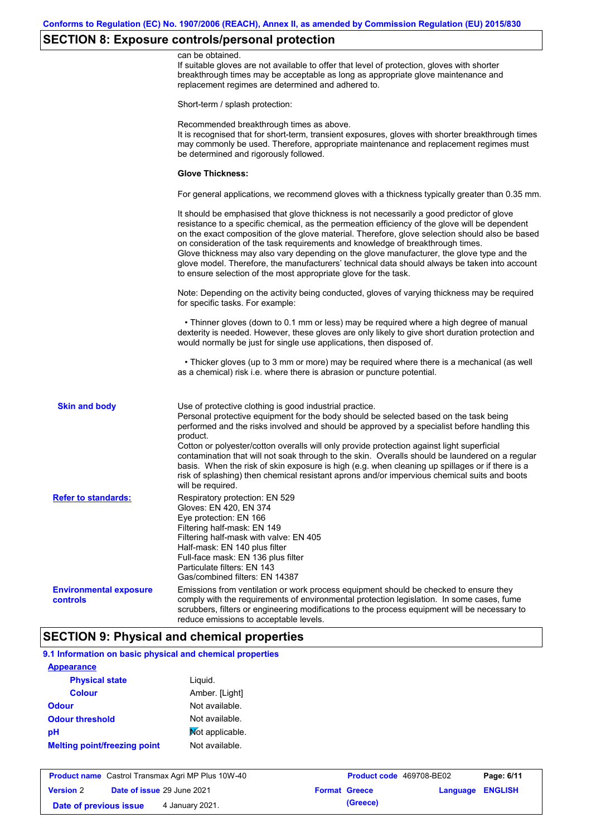# **SECTION 8: Exposure controls/personal protection**

|                                           | can be obtained.<br>If suitable gloves are not available to offer that level of protection, gloves with shorter<br>breakthrough times may be acceptable as long as appropriate glove maintenance and<br>replacement regimes are determined and adhered to.                                                                                                                                                                                                                                                                                                                                                                                                       |
|-------------------------------------------|------------------------------------------------------------------------------------------------------------------------------------------------------------------------------------------------------------------------------------------------------------------------------------------------------------------------------------------------------------------------------------------------------------------------------------------------------------------------------------------------------------------------------------------------------------------------------------------------------------------------------------------------------------------|
|                                           | Short-term / splash protection:                                                                                                                                                                                                                                                                                                                                                                                                                                                                                                                                                                                                                                  |
|                                           | Recommended breakthrough times as above.<br>It is recognised that for short-term, transient exposures, gloves with shorter breakthrough times<br>may commonly be used. Therefore, appropriate maintenance and replacement regimes must<br>be determined and rigorously followed.                                                                                                                                                                                                                                                                                                                                                                                 |
|                                           | <b>Glove Thickness:</b>                                                                                                                                                                                                                                                                                                                                                                                                                                                                                                                                                                                                                                          |
|                                           | For general applications, we recommend gloves with a thickness typically greater than 0.35 mm.                                                                                                                                                                                                                                                                                                                                                                                                                                                                                                                                                                   |
|                                           | It should be emphasised that glove thickness is not necessarily a good predictor of glove<br>resistance to a specific chemical, as the permeation efficiency of the glove will be dependent<br>on the exact composition of the glove material. Therefore, glove selection should also be based<br>on consideration of the task requirements and knowledge of breakthrough times.<br>Glove thickness may also vary depending on the glove manufacturer, the glove type and the<br>glove model. Therefore, the manufacturers' technical data should always be taken into account<br>to ensure selection of the most appropriate glove for the task.                |
|                                           | Note: Depending on the activity being conducted, gloves of varying thickness may be required<br>for specific tasks. For example:                                                                                                                                                                                                                                                                                                                                                                                                                                                                                                                                 |
|                                           | • Thinner gloves (down to 0.1 mm or less) may be required where a high degree of manual<br>dexterity is needed. However, these gloves are only likely to give short duration protection and<br>would normally be just for single use applications, then disposed of.                                                                                                                                                                                                                                                                                                                                                                                             |
|                                           | • Thicker gloves (up to 3 mm or more) may be required where there is a mechanical (as well<br>as a chemical) risk i.e. where there is abrasion or puncture potential.                                                                                                                                                                                                                                                                                                                                                                                                                                                                                            |
| <b>Skin and body</b>                      | Use of protective clothing is good industrial practice.<br>Personal protective equipment for the body should be selected based on the task being<br>performed and the risks involved and should be approved by a specialist before handling this<br>product.<br>Cotton or polyester/cotton overalls will only provide protection against light superficial<br>contamination that will not soak through to the skin. Overalls should be laundered on a regular<br>basis. When the risk of skin exposure is high (e.g. when cleaning up spillages or if there is a<br>risk of splashing) then chemical resistant aprons and/or impervious chemical suits and boots |
| <b>Refer to standards:</b>                | will be required.<br>Respiratory protection: EN 529<br>Gloves: EN 420, EN 374<br>Eye protection: EN 166<br>Filtering half-mask: EN 149<br>Filtering half-mask with valve: EN 405<br>Half-mask: EN 140 plus filter<br>Full-face mask: EN 136 plus filter<br>Particulate filters: EN 143<br>Gas/combined filters: EN 14387                                                                                                                                                                                                                                                                                                                                         |
| <b>Environmental exposure</b><br>controls | Emissions from ventilation or work process equipment should be checked to ensure they<br>comply with the requirements of environmental protection legislation. In some cases, fume<br>scrubbers, filters or engineering modifications to the process equipment will be necessary to<br>reduce emissions to acceptable levels.                                                                                                                                                                                                                                                                                                                                    |

# **9.1 Information on basic physical and chemical properties**

| <b>Appearance</b>                   |                 |
|-------------------------------------|-----------------|
| <b>Physical state</b>               | Liguid.         |
| <b>Colour</b>                       | Amber. [Light]  |
| <b>Odour</b>                        | Not available.  |
| <b>Odour threshold</b>              | Not available.  |
| рH                                  | Mot applicable. |
| <b>Melting point/freezing point</b> | Not available.  |
|                                     |                 |

| <b>Product name</b> Castrol Transmax Agri MP Plus 10W-40 |  |                                   | <b>Product code</b> 469708-BE02 |                      | Page: 6/11              |  |
|----------------------------------------------------------|--|-----------------------------------|---------------------------------|----------------------|-------------------------|--|
| <b>Version 2</b>                                         |  | <b>Date of issue 29 June 2021</b> |                                 | <b>Format Greece</b> | <b>Language ENGLISH</b> |  |
| Date of previous issue                                   |  | 4 January 2021.                   |                                 | (Greece)             |                         |  |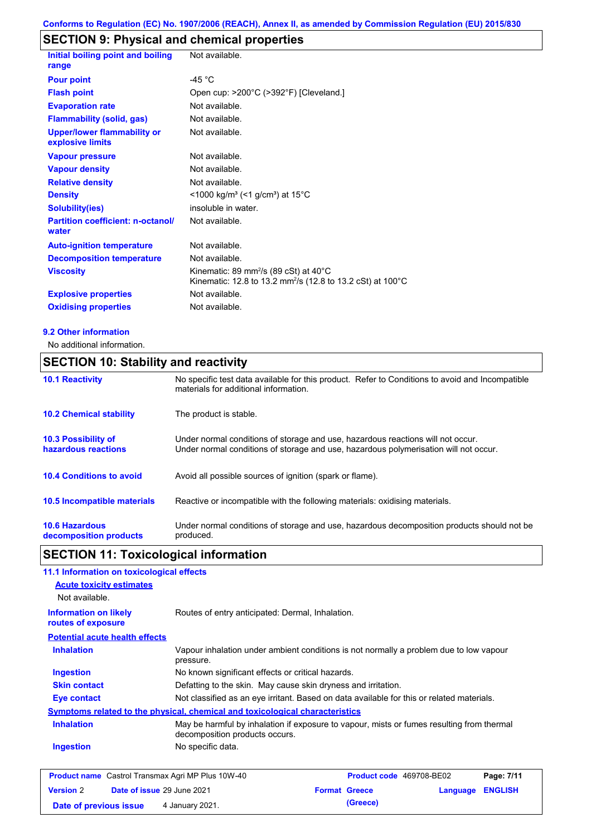# **SECTION 9: Physical and chemical properties**

| Initial boiling point and boiling<br>range             | Not available.                                                                                                               |
|--------------------------------------------------------|------------------------------------------------------------------------------------------------------------------------------|
| <b>Pour point</b>                                      | $-45 °C$                                                                                                                     |
| <b>Flash point</b>                                     | Open cup: >200°C (>392°F) [Cleveland.]                                                                                       |
| <b>Evaporation rate</b>                                | Not available.                                                                                                               |
| <b>Flammability (solid, gas)</b>                       | Not available.                                                                                                               |
| <b>Upper/lower flammability or</b><br>explosive limits | Not available.                                                                                                               |
| <b>Vapour pressure</b>                                 | Not available.                                                                                                               |
| <b>Vapour density</b>                                  | Not available.                                                                                                               |
| <b>Relative density</b>                                | Not available.                                                                                                               |
| <b>Density</b>                                         | $<$ 1000 kg/m <sup>3</sup> (<1 g/cm <sup>3</sup> ) at 15 <sup>°</sup> C                                                      |
| <b>Solubility(ies)</b>                                 | insoluble in water.                                                                                                          |
| <b>Partition coefficient: n-octanol/</b><br>water      | Not available.                                                                                                               |
| <b>Auto-ignition temperature</b>                       | Not available.                                                                                                               |
| <b>Decomposition temperature</b>                       | Not available.                                                                                                               |
| <b>Viscosity</b>                                       | Kinematic: 89 mm <sup>2</sup> /s (89 cSt) at 40°C<br>Kinematic: 12.8 to 13.2 mm <sup>2</sup> /s (12.8 to 13.2 cSt) at 100 °C |
| <b>Explosive properties</b>                            | Not available.                                                                                                               |
| <b>Oxidising properties</b>                            | Not available.                                                                                                               |
|                                                        |                                                                                                                              |

#### **9.2 Other information**

No additional information.

## **SECTION 10: Stability and reactivity**

| <b>10.1 Reactivity</b>                            | No specific test data available for this product. Refer to Conditions to avoid and Incompatible<br>materials for additional information.                                |
|---------------------------------------------------|-------------------------------------------------------------------------------------------------------------------------------------------------------------------------|
| <b>10.2 Chemical stability</b>                    | The product is stable.                                                                                                                                                  |
| <b>10.3 Possibility of</b><br>hazardous reactions | Under normal conditions of storage and use, hazardous reactions will not occur.<br>Under normal conditions of storage and use, hazardous polymerisation will not occur. |
| <b>10.4 Conditions to avoid</b>                   | Avoid all possible sources of ignition (spark or flame).                                                                                                                |
| <b>10.5 Incompatible materials</b>                | Reactive or incompatible with the following materials: oxidising materials.                                                                                             |
| <b>10.6 Hazardous</b><br>decomposition products   | Under normal conditions of storage and use, hazardous decomposition products should not be<br>produced.                                                                 |

# **SECTION 11: Toxicological information**

| 11.1 Information on toxicological effects          |                                                                                                                             |
|----------------------------------------------------|-----------------------------------------------------------------------------------------------------------------------------|
| <b>Acute toxicity estimates</b>                    |                                                                                                                             |
| Not available.                                     |                                                                                                                             |
| <b>Information on likely</b><br>routes of exposure | Routes of entry anticipated: Dermal, Inhalation.                                                                            |
| <b>Potential acute health effects</b>              |                                                                                                                             |
| <b>Inhalation</b>                                  | Vapour inhalation under ambient conditions is not normally a problem due to low vapour<br>pressure.                         |
| <b>Ingestion</b>                                   | No known significant effects or critical hazards.                                                                           |
| <b>Skin contact</b>                                | Defatting to the skin. May cause skin dryness and irritation.                                                               |
| Eye contact                                        | Not classified as an eye irritant. Based on data available for this or related materials.                                   |
|                                                    | Symptoms related to the physical, chemical and toxicological characteristics                                                |
| <b>Inhalation</b>                                  | May be harmful by inhalation if exposure to vapour, mists or fumes resulting from thermal<br>decomposition products occurs. |
| <b>Ingestion</b>                                   | No specific data.                                                                                                           |
|                                                    |                                                                                                                             |

|                        | <b>Product name</b> Castrol Transmax Agri MP Plus 10W-40 | <b>Product code</b> 469708-BE02 |                         | Page: 7/11 |
|------------------------|----------------------------------------------------------|---------------------------------|-------------------------|------------|
| <b>Version 2</b>       | <b>Date of issue 29 June 2021</b>                        | <b>Format Greece</b>            | <b>Language ENGLISH</b> |            |
| Date of previous issue | 4 January 2021.                                          | (Greece)                        |                         |            |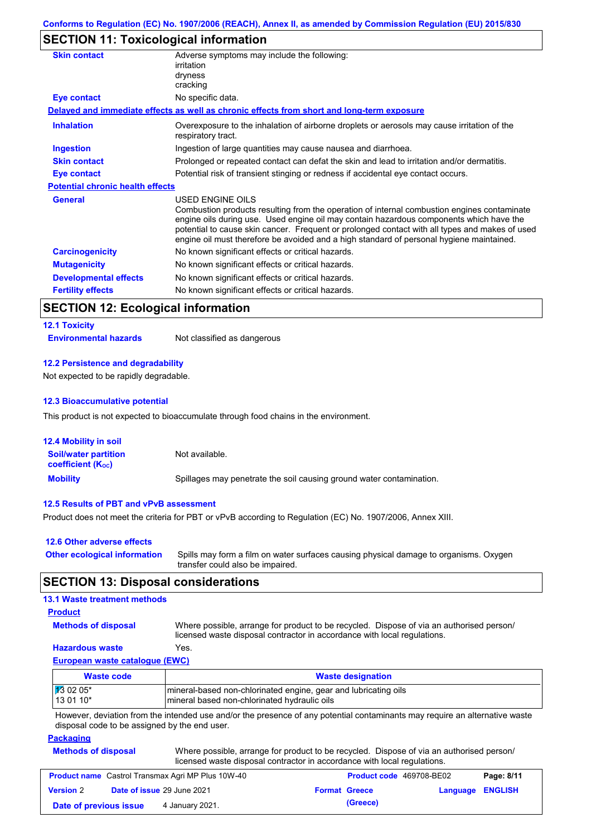## **SECTION 11: Toxicological information**

| Overexposure to the inhalation of airborne droplets or aerosols may cause irritation of the                                                                                                                                                                                                                                                                                          |  |
|--------------------------------------------------------------------------------------------------------------------------------------------------------------------------------------------------------------------------------------------------------------------------------------------------------------------------------------------------------------------------------------|--|
|                                                                                                                                                                                                                                                                                                                                                                                      |  |
| Prolonged or repeated contact can defat the skin and lead to irritation and/or dermatitis.                                                                                                                                                                                                                                                                                           |  |
| Potential risk of transient stinging or redness if accidental eye contact occurs.                                                                                                                                                                                                                                                                                                    |  |
|                                                                                                                                                                                                                                                                                                                                                                                      |  |
| Combustion products resulting from the operation of internal combustion engines contaminate<br>engine oils during use. Used engine oil may contain hazardous components which have the<br>potential to cause skin cancer. Frequent or prolonged contact with all types and makes of used<br>engine oil must therefore be avoided and a high standard of personal hygiene maintained. |  |
|                                                                                                                                                                                                                                                                                                                                                                                      |  |
| No known significant effects or critical hazards.                                                                                                                                                                                                                                                                                                                                    |  |
| No known significant effects or critical hazards.                                                                                                                                                                                                                                                                                                                                    |  |
|                                                                                                                                                                                                                                                                                                                                                                                      |  |
|                                                                                                                                                                                                                                                                                                                                                                                      |  |

## **SECTION 12: Ecological information**

#### **12.1 Toxicity**

**Environmental hazards** Not classified as dangerous

#### **12.2 Persistence and degradability**

Not expected to be rapidly degradable.

#### **12.3 Bioaccumulative potential**

This product is not expected to bioaccumulate through food chains in the environment.

| <b>12.4 Mobility in soil</b>                            |                                                                      |
|---------------------------------------------------------|----------------------------------------------------------------------|
| <b>Soil/water partition</b><br><b>coefficient (Koc)</b> | Not available.                                                       |
| <b>Mobility</b>                                         | Spillages may penetrate the soil causing ground water contamination. |

#### **12.5 Results of PBT and vPvB assessment**

Product does not meet the criteria for PBT or vPvB according to Regulation (EC) No. 1907/2006, Annex XIII.

| 12.6 Other adverse effects          |                                                                                                                           |
|-------------------------------------|---------------------------------------------------------------------------------------------------------------------------|
| <b>Other ecological information</b> | Spills may form a film on water surfaces causing physical damage to organisms. Oxygen<br>transfer could also be impaired. |

## **SECTION 13: Disposal considerations**

## **13.1 Waste treatment methods**

### **Product**

**Methods of disposal**

Where possible, arrange for product to be recycled. Dispose of via an authorised person/

#### **Hazardous waste** Yes.

licensed waste disposal contractor in accordance with local regulations.

### **European waste catalogue (EWC)**

| Waste code         | <b>Waste designation</b>                                        |  |
|--------------------|-----------------------------------------------------------------|--|
| $\sqrt{13}$ 02 05* | mineral-based non-chlorinated engine, gear and lubricating oils |  |
| 13 01 10*          | mineral based non-chlorinated hydraulic oils                    |  |

However, deviation from the intended use and/or the presence of any potential contaminants may require an alternative waste disposal code to be assigned by the end user.

#### **Packaging**

| <b>Methods of disposal</b> | Where possible, arrange for product to be recycled. Dispose of via an authorised person/ |
|----------------------------|------------------------------------------------------------------------------------------|
|                            | licensed waste disposal contractor in accordance with local regulations.                 |

|                        | <b>Product name</b> Castrol Transmax Agri MP Plus 10W-40 | <b>Product code</b> 469708-BE02 |                         | Page: 8/11 |
|------------------------|----------------------------------------------------------|---------------------------------|-------------------------|------------|
| <b>Version 2</b>       | <b>Date of issue 29 June 2021</b>                        | <b>Format Greece</b>            | <b>Language ENGLISH</b> |            |
| Date of previous issue | 4 January 2021.                                          | (Greece)                        |                         |            |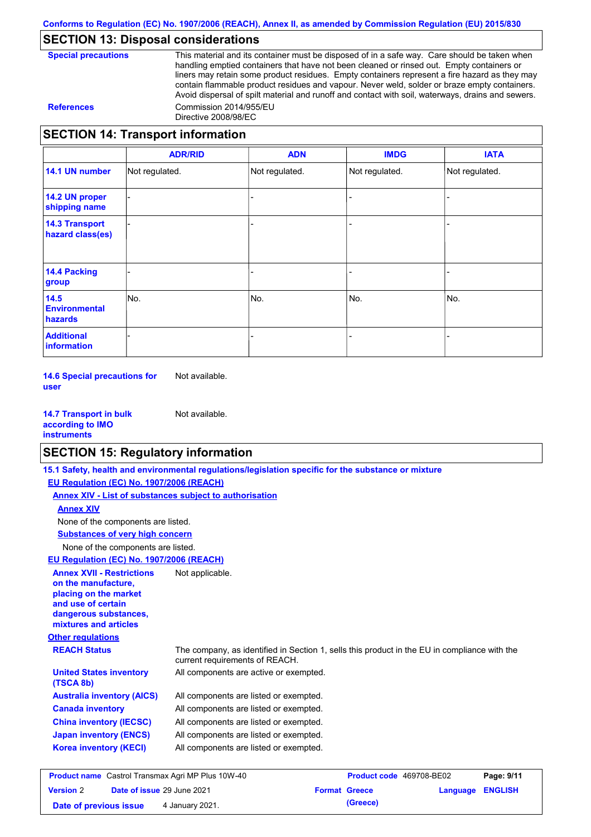## **SECTION 13: Disposal considerations**

This material and its container must be disposed of in a safe way. Care should be taken when handling emptied containers that have not been cleaned or rinsed out. Empty containers or liners may retain some product residues. Empty containers represent a fire hazard as they may contain flammable product residues and vapour. Never weld, solder or braze empty containers. Avoid dispersal of spilt material and runoff and contact with soil, waterways, drains and sewers. **References** Commission 2014/955/EU Directive 2008/98/EC

## **SECTION 14: Transport information**

|                                           | <b>ADR/RID</b> | <b>ADN</b>     | <b>IMDG</b>    | <b>IATA</b>    |
|-------------------------------------------|----------------|----------------|----------------|----------------|
| 14.1 UN number                            | Not regulated. | Not regulated. | Not regulated. | Not regulated. |
| 14.2 UN proper<br>shipping name           |                |                |                |                |
| <b>14.3 Transport</b><br>hazard class(es) |                |                |                |                |
| <b>14.4 Packing</b><br>group              |                |                |                |                |
| 14.5<br><b>Environmental</b><br>hazards   | No.            | No.            | No.            | No.            |
| <b>Additional</b><br>information          |                |                |                |                |

**14.6 Special precautions for user** Not available.

**14.7 Transport in bulk according to IMO instruments** Not available.

## **SECTION 15: Regulatory information**

|                                                                                                                                                          | 15.1 Safety, health and environmental regulations/legislation specific for the substance or mixture                            |                          |          |                |
|----------------------------------------------------------------------------------------------------------------------------------------------------------|--------------------------------------------------------------------------------------------------------------------------------|--------------------------|----------|----------------|
| EU Regulation (EC) No. 1907/2006 (REACH)                                                                                                                 |                                                                                                                                |                          |          |                |
|                                                                                                                                                          | Annex XIV - List of substances subject to authorisation                                                                        |                          |          |                |
| <b>Annex XIV</b>                                                                                                                                         |                                                                                                                                |                          |          |                |
| None of the components are listed.                                                                                                                       |                                                                                                                                |                          |          |                |
| <b>Substances of very high concern</b>                                                                                                                   |                                                                                                                                |                          |          |                |
| None of the components are listed.                                                                                                                       |                                                                                                                                |                          |          |                |
| EU Regulation (EC) No. 1907/2006 (REACH)                                                                                                                 |                                                                                                                                |                          |          |                |
| <b>Annex XVII - Restrictions</b><br>on the manufacture.<br>placing on the market<br>and use of certain<br>dangerous substances,<br>mixtures and articles | Not applicable.                                                                                                                |                          |          |                |
| <b>Other regulations</b>                                                                                                                                 |                                                                                                                                |                          |          |                |
| <b>REACH Status</b>                                                                                                                                      | The company, as identified in Section 1, sells this product in the EU in compliance with the<br>current requirements of REACH. |                          |          |                |
| <b>United States inventory</b><br>(TSCA 8b)                                                                                                              | All components are active or exempted.                                                                                         |                          |          |                |
| <b>Australia inventory (AICS)</b>                                                                                                                        | All components are listed or exempted.                                                                                         |                          |          |                |
| <b>Canada inventory</b>                                                                                                                                  | All components are listed or exempted.                                                                                         |                          |          |                |
| <b>China inventory (IECSC)</b>                                                                                                                           | All components are listed or exempted.                                                                                         |                          |          |                |
| <b>Japan inventory (ENCS)</b>                                                                                                                            | All components are listed or exempted.                                                                                         |                          |          |                |
| <b>Korea inventory (KECI)</b>                                                                                                                            | All components are listed or exempted.                                                                                         |                          |          |                |
| <b>Product name</b> Castrol Transmax Agri MP Plus 10W-40                                                                                                 |                                                                                                                                | Product code 469708-BE02 |          | Page: 9/11     |
| Date of issue 29 June 2021<br><b>Version 2</b>                                                                                                           |                                                                                                                                | <b>Format Greece</b>     | Language | <b>ENGLISH</b> |

**Date of previous issue** 4 January 2021.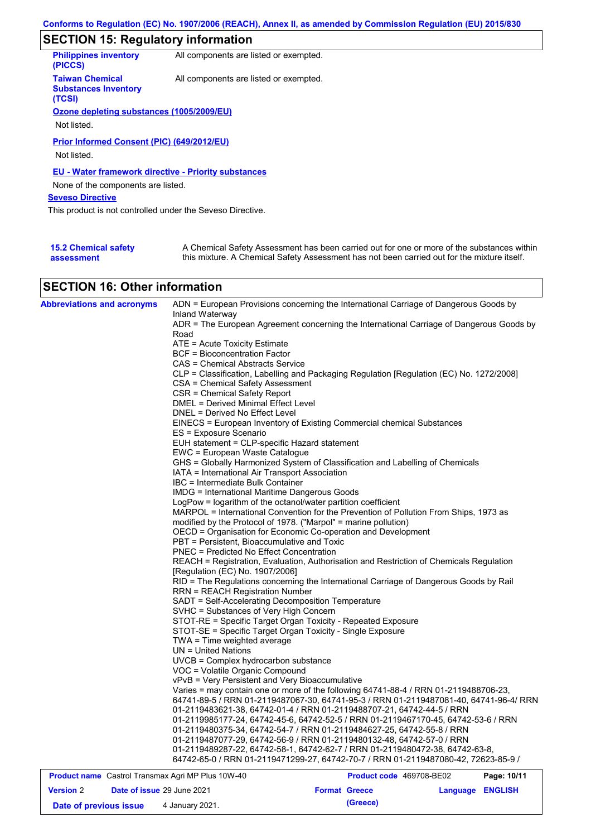# **SECTION 15: Regulatory information**

| <b>Philippines inventory</b><br>(PICCS)                         | All components are listed or exempted. |
|-----------------------------------------------------------------|----------------------------------------|
| <b>Taiwan Chemical</b><br><b>Substances Inventory</b><br>(TCSI) | All components are listed or exempted. |
| Ozone depleting substances (1005/2009/EU)                       |                                        |
|                                                                 |                                        |
| Not listed.                                                     |                                        |
| Prior Informed Consent (PIC) (649/2012/EU)<br>Not listed.       |                                        |
| <b>EU - Water framework directive - Priority substances</b>     |                                        |
| None of the components are listed.                              |                                        |
| <b>Seveso Directive</b>                                         |                                        |
| This product is not controlled under the Seveso Directive.      |                                        |
|                                                                 |                                        |

| <b>15.2 Chemical safety</b> | A Chemical Safety Assessment has been carried out for one or more of the substances within  |
|-----------------------------|---------------------------------------------------------------------------------------------|
| assessment                  | this mixture. A Chemical Safety Assessment has not been carried out for the mixture itself. |

## **SECTION 16: Other information**

| Inland Waterway<br>ADR = The European Agreement concerning the International Carriage of Dangerous Goods by<br>Road<br>ATE = Acute Toxicity Estimate<br><b>BCF</b> = Bioconcentration Factor<br>CAS = Chemical Abstracts Service<br>CLP = Classification, Labelling and Packaging Regulation [Regulation (EC) No. 1272/2008]<br>CSA = Chemical Safety Assessment |
|------------------------------------------------------------------------------------------------------------------------------------------------------------------------------------------------------------------------------------------------------------------------------------------------------------------------------------------------------------------|
|                                                                                                                                                                                                                                                                                                                                                                  |
|                                                                                                                                                                                                                                                                                                                                                                  |
|                                                                                                                                                                                                                                                                                                                                                                  |
|                                                                                                                                                                                                                                                                                                                                                                  |
|                                                                                                                                                                                                                                                                                                                                                                  |
|                                                                                                                                                                                                                                                                                                                                                                  |
|                                                                                                                                                                                                                                                                                                                                                                  |
| CSR = Chemical Safety Report                                                                                                                                                                                                                                                                                                                                     |
| <b>DMEL = Derived Minimal Effect Level</b>                                                                                                                                                                                                                                                                                                                       |
| DNEL = Derived No Effect Level                                                                                                                                                                                                                                                                                                                                   |
| EINECS = European Inventory of Existing Commercial chemical Substances                                                                                                                                                                                                                                                                                           |
| ES = Exposure Scenario                                                                                                                                                                                                                                                                                                                                           |
| EUH statement = CLP-specific Hazard statement                                                                                                                                                                                                                                                                                                                    |
| EWC = European Waste Catalogue                                                                                                                                                                                                                                                                                                                                   |
| GHS = Globally Harmonized System of Classification and Labelling of Chemicals                                                                                                                                                                                                                                                                                    |
| IATA = International Air Transport Association                                                                                                                                                                                                                                                                                                                   |
| IBC = Intermediate Bulk Container                                                                                                                                                                                                                                                                                                                                |
| <b>IMDG = International Maritime Dangerous Goods</b>                                                                                                                                                                                                                                                                                                             |
| LogPow = logarithm of the octanol/water partition coefficient                                                                                                                                                                                                                                                                                                    |
| MARPOL = International Convention for the Prevention of Pollution From Ships, 1973 as                                                                                                                                                                                                                                                                            |
| modified by the Protocol of 1978. ("Marpol" = marine pollution)                                                                                                                                                                                                                                                                                                  |
| OECD = Organisation for Economic Co-operation and Development                                                                                                                                                                                                                                                                                                    |
| PBT = Persistent, Bioaccumulative and Toxic                                                                                                                                                                                                                                                                                                                      |
| PNEC = Predicted No Effect Concentration                                                                                                                                                                                                                                                                                                                         |
| REACH = Registration, Evaluation, Authorisation and Restriction of Chemicals Regulation                                                                                                                                                                                                                                                                          |
| [Regulation (EC) No. 1907/2006]                                                                                                                                                                                                                                                                                                                                  |
| RID = The Regulations concerning the International Carriage of Dangerous Goods by Rail                                                                                                                                                                                                                                                                           |
| RRN = REACH Registration Number                                                                                                                                                                                                                                                                                                                                  |
| SADT = Self-Accelerating Decomposition Temperature                                                                                                                                                                                                                                                                                                               |
| SVHC = Substances of Very High Concern                                                                                                                                                                                                                                                                                                                           |
| STOT-RE = Specific Target Organ Toxicity - Repeated Exposure                                                                                                                                                                                                                                                                                                     |
| STOT-SE = Specific Target Organ Toxicity - Single Exposure                                                                                                                                                                                                                                                                                                       |
| TWA = Time weighted average                                                                                                                                                                                                                                                                                                                                      |
| $UN = United Nations$                                                                                                                                                                                                                                                                                                                                            |
| UVCB = Complex hydrocarbon substance                                                                                                                                                                                                                                                                                                                             |
| VOC = Volatile Organic Compound                                                                                                                                                                                                                                                                                                                                  |
| vPvB = Very Persistent and Very Bioaccumulative                                                                                                                                                                                                                                                                                                                  |
| Varies = may contain one or more of the following 64741-88-4 / RRN 01-2119488706-23,                                                                                                                                                                                                                                                                             |
| 64741-89-5 / RRN 01-2119487067-30, 64741-95-3 / RRN 01-2119487081-40, 64741-96-4/ RRN                                                                                                                                                                                                                                                                            |
| 01-2119483621-38, 64742-01-4 / RRN 01-2119488707-21, 64742-44-5 / RRN                                                                                                                                                                                                                                                                                            |
| 01-2119985177-24, 64742-45-6, 64742-52-5 / RRN 01-2119467170-45, 64742-53-6 / RRN                                                                                                                                                                                                                                                                                |
| 01-2119480375-34, 64742-54-7 / RRN 01-2119484627-25, 64742-55-8 / RRN                                                                                                                                                                                                                                                                                            |
| 01-2119487077-29, 64742-56-9 / RRN 01-2119480132-48, 64742-57-0 / RRN                                                                                                                                                                                                                                                                                            |
| 01-2119489287-22, 64742-58-1, 64742-62-7 / RRN 01-2119480472-38, 64742-63-8,                                                                                                                                                                                                                                                                                     |
| 64742-65-0 / RRN 01-2119471299-27, 64742-70-7 / RRN 01-2119487080-42, 72623-85-9 /                                                                                                                                                                                                                                                                               |
| <b>Product name</b> Castrol Transmax Agri MP Plus 10W-40<br><b>Product code</b> 469708-BE02<br>Page: 10/11                                                                                                                                                                                                                                                       |

|                        | <b>Product name</b> Castrol Transmax Agri MP Plus 10W-40 | <b>Product code</b> 469708-BE02 | Page: 10/11      |
|------------------------|----------------------------------------------------------|---------------------------------|------------------|
| <b>Version 2</b>       | <b>Date of issue 29 June 2021</b>                        | <b>Format Greece</b>            | Language ENGLISH |
| Date of previous issue | 4 January 2021.                                          | (Greece)                        |                  |